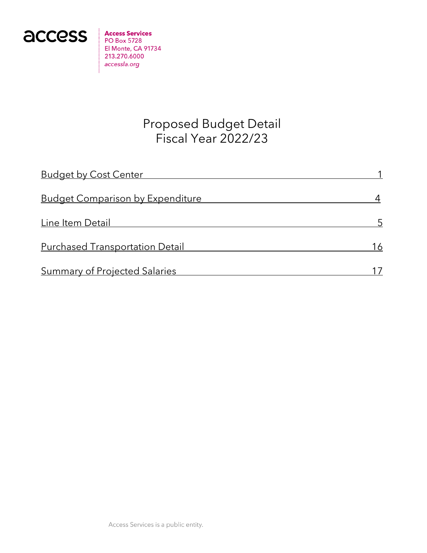

**Access Services PO Box 5728** El Monte, CA 91734 213.270.6000 accessla.org

# Proposed Budget Detail Fiscal Year 2022/23

| <b>Budget by Cost Center</b>            |    |
|-----------------------------------------|----|
| <b>Budget Comparison by Expenditure</b> |    |
| Line Item Detail                        |    |
| <b>Purchased Transportation Detail</b>  | 16 |
| <b>Summary of Projected Salaries</b>    |    |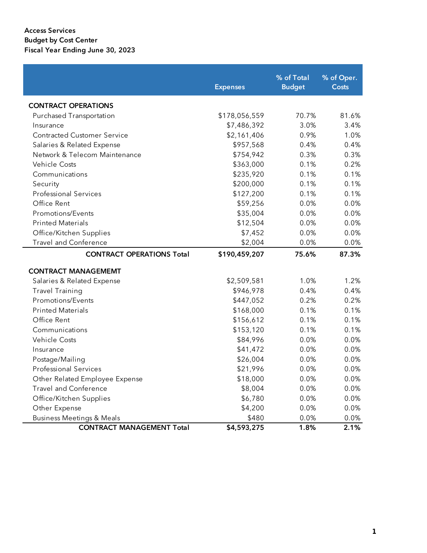|                                      | <b>Expenses</b> | % of Total<br><b>Budget</b> | % of Oper.<br>Costs |
|--------------------------------------|-----------------|-----------------------------|---------------------|
| <b>CONTRACT OPERATIONS</b>           |                 |                             |                     |
| Purchased Transportation             | \$178,056,559   | 70.7%                       | 81.6%               |
| Insurance                            | \$7,486,392     | 3.0%                        | 3.4%                |
| <b>Contracted Customer Service</b>   | \$2,161,406     | 0.9%                        | 1.0%                |
| Salaries & Related Expense           | \$957,568       | 0.4%                        | 0.4%                |
| Network & Telecom Maintenance        | \$754,942       | 0.3%                        | 0.3%                |
| <b>Vehicle Costs</b>                 | \$363,000       | 0.1%                        | 0.2%                |
| Communications                       | \$235,920       | 0.1%                        | 0.1%                |
| Security                             | \$200,000       | 0.1%                        | 0.1%                |
| <b>Professional Services</b>         | \$127,200       | 0.1%                        | 0.1%                |
| Office Rent                          | \$59,256        | 0.0%                        | 0.0%                |
| Promotions/Events                    | \$35,004        | 0.0%                        | 0.0%                |
| <b>Printed Materials</b>             | \$12,504        | 0.0%                        | 0.0%                |
| Office/Kitchen Supplies              | \$7,452         | 0.0%                        | 0.0%                |
| <b>Travel and Conference</b>         | \$2,004         | 0.0%                        | 0.0%                |
| <b>CONTRACT OPERATIONS Total</b>     | \$190,459,207   | 75.6%                       | 87.3%               |
| <b>CONTRACT MANAGEMEMT</b>           |                 |                             |                     |
| Salaries & Related Expense           | \$2,509,581     | 1.0%                        | 1.2%                |
| <b>Travel Training</b>               | \$946,978       | 0.4%                        | 0.4%                |
| Promotions/Events                    | \$447,052       | 0.2%                        | 0.2%                |
| <b>Printed Materials</b>             | \$168,000       | 0.1%                        | 0.1%                |
| Office Rent                          | \$156,612       | 0.1%                        | 0.1%                |
| Communications                       | \$153,120       | 0.1%                        | 0.1%                |
| <b>Vehicle Costs</b>                 | \$84,996        | 0.0%                        | 0.0%                |
| Insurance                            | \$41,472        | 0.0%                        | 0.0%                |
| Postage/Mailing                      | \$26,004        | 0.0%                        | 0.0%                |
| <b>Professional Services</b>         | \$21,996        | 0.0%                        | 0.0%                |
| Other Related Employee Expense       | \$18,000        | 0.0%                        | 0.0%                |
| <b>Travel and Conference</b>         | \$8,004         | 0.0%                        | 0.0%                |
| Office/Kitchen Supplies              | \$6,780         | 0.0%                        | 0.0%                |
| Other Expense                        | \$4,200         | 0.0%                        | 0.0%                |
| <b>Business Meetings &amp; Meals</b> | \$480           | 0.0%                        | 0.0%                |
| <b>CONTRACT MANAGEMENT Total</b>     | \$4,593,275     | 1.8%                        | 2.1%                |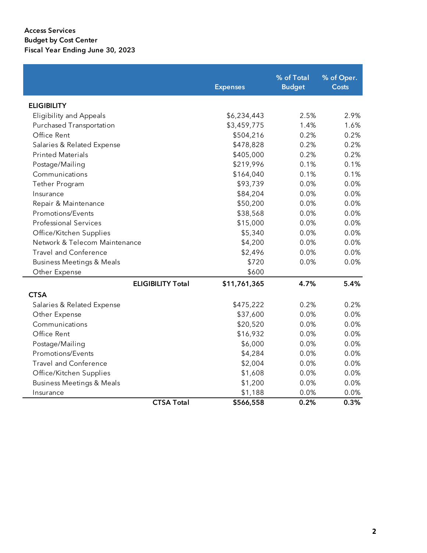|                                      | <b>Expenses</b> | % of Total<br><b>Budget</b> | % of Oper.<br><b>Costs</b> |
|--------------------------------------|-----------------|-----------------------------|----------------------------|
| <b>ELIGIBILITY</b>                   |                 |                             |                            |
| <b>Eligibility and Appeals</b>       | \$6,234,443     | 2.5%                        | 2.9%                       |
| Purchased Transportation             | \$3,459,775     | 1.4%                        | 1.6%                       |
| Office Rent                          | \$504,216       | 0.2%                        | 0.2%                       |
| Salaries & Related Expense           | \$478,828       | 0.2%                        | 0.2%                       |
| <b>Printed Materials</b>             | \$405,000       | 0.2%                        | 0.2%                       |
| Postage/Mailing                      | \$219,996       | 0.1%                        | 0.1%                       |
| Communications                       | \$164,040       | 0.1%                        | 0.1%                       |
| Tether Program                       | \$93,739        | 0.0%                        | 0.0%                       |
| Insurance                            | \$84,204        | 0.0%                        | 0.0%                       |
| Repair & Maintenance                 | \$50,200        | 0.0%                        | 0.0%                       |
| Promotions/Events                    | \$38,568        | 0.0%                        | 0.0%                       |
| <b>Professional Services</b>         | \$15,000        | 0.0%                        | 0.0%                       |
| Office/Kitchen Supplies              | \$5,340         | 0.0%                        | 0.0%                       |
| Network & Telecom Maintenance        | \$4,200         | 0.0%                        | 0.0%                       |
| <b>Travel and Conference</b>         | \$2,496         | 0.0%                        | 0.0%                       |
| <b>Business Meetings &amp; Meals</b> | \$720           | 0.0%                        | 0.0%                       |
| Other Expense                        | \$600           |                             |                            |
| <b>ELIGIBILITY Total</b>             | \$11,761,365    | 4.7%                        | 5.4%                       |
| <b>CTSA</b>                          |                 |                             |                            |
| Salaries & Related Expense           | \$475,222       | 0.2%                        | 0.2%                       |
| Other Expense                        | \$37,600        | 0.0%                        | 0.0%                       |
| Communications                       | \$20,520        | 0.0%                        | 0.0%                       |
| Office Rent                          | \$16,932        | 0.0%                        | 0.0%                       |
| Postage/Mailing                      | \$6,000         | 0.0%                        | 0.0%                       |
| Promotions/Events                    | \$4,284         | 0.0%                        | 0.0%                       |
| <b>Travel and Conference</b>         | \$2,004         | 0.0%                        | 0.0%                       |
| Office/Kitchen Supplies              | \$1,608         | 0.0%                        | 0.0%                       |
| <b>Business Meetings &amp; Meals</b> | \$1,200         | 0.0%                        | 0.0%                       |
| Insurance                            | \$1,188         | 0.0%                        | 0.0%                       |
| <b>CTSA Total</b>                    | \$566,558       | 0.2%                        | 0.3%                       |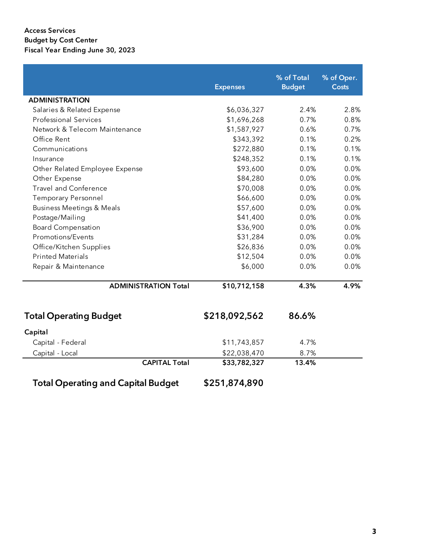Access Services Budget by Cost Center Fiscal Year Ending June 30, 2023

|                                           | <b>Expenses</b> | % of Total<br><b>Budget</b> | % of Oper.<br><b>Costs</b> |
|-------------------------------------------|-----------------|-----------------------------|----------------------------|
| <b>ADMINISTRATION</b>                     |                 |                             |                            |
| Salaries & Related Expense                | \$6,036,327     | 2.4%                        | 2.8%                       |
| <b>Professional Services</b>              | \$1,696,268     | 0.7%                        | 0.8%                       |
| Network & Telecom Maintenance             | \$1,587,927     | 0.6%                        | 0.7%                       |
| Office Rent                               | \$343,392       | 0.1%                        | 0.2%                       |
| Communications                            | \$272,880       | 0.1%                        | 0.1%                       |
| Insurance                                 | \$248,352       | 0.1%                        | 0.1%                       |
| Other Related Employee Expense            | \$93,600        | 0.0%                        | 0.0%                       |
| Other Expense                             | \$84,280        | 0.0%                        | 0.0%                       |
| <b>Travel and Conference</b>              | \$70,008        | 0.0%                        | 0.0%                       |
| <b>Temporary Personnel</b>                | \$66,600        | 0.0%                        | 0.0%                       |
| <b>Business Meetings &amp; Meals</b>      | \$57,600        | 0.0%                        | 0.0%                       |
| Postage/Mailing                           | \$41,400        | 0.0%                        | 0.0%                       |
| <b>Board Compensation</b>                 | \$36,900        | 0.0%                        | 0.0%                       |
| Promotions/Events                         | \$31,284        | 0.0%                        | 0.0%                       |
| Office/Kitchen Supplies                   | \$26,836        | 0.0%                        | 0.0%                       |
| <b>Printed Materials</b>                  | \$12,504        | 0.0%                        | 0.0%                       |
| Repair & Maintenance                      | \$6,000         | 0.0%                        | 0.0%                       |
| <b>ADMINISTRATION Total</b>               | \$10,712,158    | 4.3%                        | 4.9%                       |
| <b>Total Operating Budget</b>             | \$218,092,562   | 86.6%                       |                            |
| Capital                                   |                 |                             |                            |
| Capital - Federal                         | \$11,743,857    | 4.7%                        |                            |
| Capital - Local                           | \$22,038,470    | 8.7%                        |                            |
| <b>CAPITAL Total</b>                      | \$33,782,327    | 13.4%                       |                            |
| <b>Total Operating and Capital Budget</b> | \$251,874,890   |                             |                            |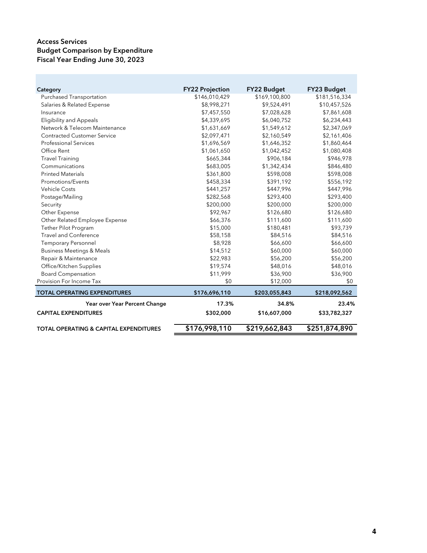| Category                                          | <b>FY22 Projection</b> | <b>FY22 Budget</b> | <b>FY23 Budget</b> |
|---------------------------------------------------|------------------------|--------------------|--------------------|
| <b>Purchased Transportation</b>                   | \$146,010,429          | \$169,100,800      | \$181,516,334      |
| Salaries & Related Expense                        | \$8,998,271            | \$9,524,491        | \$10,457,526       |
| Insurance                                         | \$7,457,550            | \$7,028,628        | \$7,861,608        |
| <b>Eligibility and Appeals</b>                    | \$4,339,695            | \$6,040,752        | \$6,234,443        |
| Network & Telecom Maintenance                     | \$1,631,669            | \$1,549,612        | \$2,347,069        |
| <b>Contracted Customer Service</b>                | \$2,097,471            | \$2,160,549        | \$2,161,406        |
| <b>Professional Services</b>                      | \$1,696,569            | \$1,646,352        | \$1,860,464        |
| Office Rent                                       | \$1,061,650            | \$1,042,452        | \$1,080,408        |
| <b>Travel Training</b>                            | \$665,344              | \$906,184          | \$946,978          |
| Communications                                    | \$683,005              | \$1,342,434        | \$846,480          |
| <b>Printed Materials</b>                          | \$361,800              | \$598,008          | \$598,008          |
| <b>Promotions/Events</b>                          | \$458,334              | \$391,192          | \$556,192          |
| <b>Vehicle Costs</b>                              | \$441,257              | \$447,996          | \$447,996          |
| Postage/Mailing                                   | \$282,568              | \$293,400          | \$293,400          |
| Security                                          | \$200,000              | \$200,000          | \$200,000          |
| Other Expense                                     | \$92,967               | \$126,680          | \$126,680          |
| Other Related Employee Expense                    | \$66,376               | \$111,600          | \$111,600          |
| Tether Pilot Program                              | \$15,000               | \$180,481          | \$93,739           |
| <b>Travel and Conference</b>                      | \$58,158               | \$84,516           | \$84,516           |
| <b>Temporary Personnel</b>                        | \$8,928                | \$66,600           | \$66,600           |
| <b>Business Meetings &amp; Meals</b>              | \$14,512               | \$60,000           | \$60,000           |
| Repair & Maintenance                              | \$22,983               | \$56,200           | \$56,200           |
| Office/Kitchen Supplies                           | \$19,574               | \$48,016           | \$48,016           |
| <b>Board Compensation</b>                         | \$11,999               | \$36,900           | \$36,900           |
| Provision For Income Tax                          | \$0                    | \$12,000           | \$0                |
| <b>TOTAL OPERATING EXPENDITURES</b>               | \$176,696,110          | \$203,055,843      | \$218,092,562      |
| Year over Year Percent Change                     | 17.3%                  | 34.8%              | 23.4%              |
| <b>CAPITAL EXPENDITURES</b>                       | \$302,000              | \$16,607,000       | \$33,782,327       |
| <b>TOTAL OPERATING &amp; CAPITAL EXPENDITURES</b> | \$176,998,110          | \$219,662,843      | \$251,874,890      |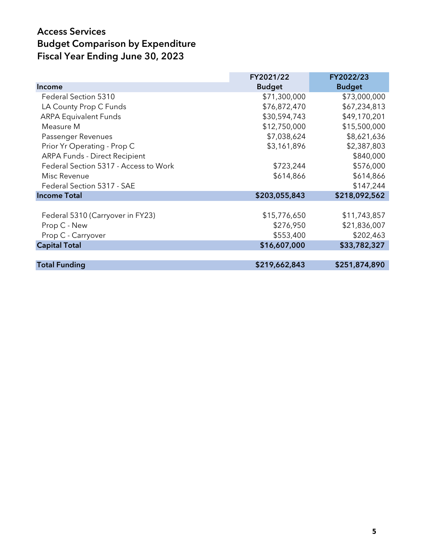|                                       | FY2021/22     | FY2022/23     |
|---------------------------------------|---------------|---------------|
| <b>Income</b>                         | <b>Budget</b> | <b>Budget</b> |
| Federal Section 5310                  | \$71,300,000  | \$73,000,000  |
| LA County Prop C Funds                | \$76,872,470  | \$67,234,813  |
| <b>ARPA Equivalent Funds</b>          | \$30,594,743  | \$49,170,201  |
| Measure M                             | \$12,750,000  | \$15,500,000  |
| Passenger Revenues                    | \$7,038,624   | \$8,621,636   |
| Prior Yr Operating - Prop C           | \$3,161,896   | \$2,387,803   |
| <b>ARPA Funds - Direct Recipient</b>  |               | \$840,000     |
| Federal Section 5317 - Access to Work | \$723,244     | \$576,000     |
| Misc Revenue                          | \$614,866     | \$614,866     |
| Federal Section 5317 - SAE            |               | \$147,244     |
| <b>Income Total</b>                   | \$203,055,843 | \$218,092,562 |
|                                       |               |               |
| Federal 5310 (Carryover in FY23)      | \$15,776,650  | \$11,743,857  |
| Prop C - New                          | \$276,950     | \$21,836,007  |
| Prop C - Carryover                    | \$553,400     | \$202,463     |
| <b>Capital Total</b>                  | \$16,607,000  | \$33,782,327  |
|                                       |               |               |
| <b>Total Funding</b>                  | \$219,662,843 | \$251,874,890 |
|                                       |               |               |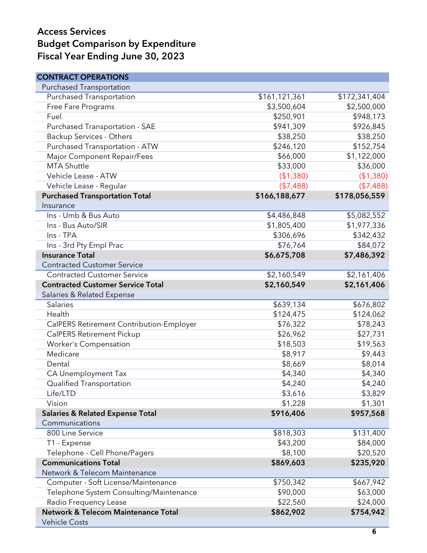| <b>CONTRACT OPERATIONS</b>                     |               |               |
|------------------------------------------------|---------------|---------------|
| <b>Purchased Transportation</b>                |               |               |
| <b>Purchased Transportation</b>                | \$161,121,361 | \$172,341,404 |
| Free Fare Programs                             | \$3,500,604   | \$2,500,000   |
| Fuel                                           | \$250,901     | \$948,173     |
| Purchased Transportation - SAE                 | \$941,309     | \$926,845     |
| <b>Backup Services - Others</b>                | \$38,250      | \$38,250      |
| Purchased Transportation - ATW                 | \$246,120     | \$152,754     |
| Major Component Repair/Fees                    | \$66,000      | \$1,122,000   |
| <b>MTA Shuttle</b>                             | \$33,000      | \$36,000      |
| Vehicle Lease - ATW                            | (\$1,380)     | (\$1,380)     |
| Vehicle Lease - Regular                        | (\$7,488)     | (\$7,488)     |
| <b>Purchased Transportation Total</b>          | \$166,188,677 | \$178,056,559 |
| Insurance                                      |               |               |
| Ins - Umb & Bus Auto                           | \$4,486,848   | \$5,082,552   |
| Ins - Bus Auto/SIR                             | \$1,805,400   | \$1,977,336   |
| Ins - TPA                                      | \$306,696     | \$342,432     |
| Ins - 3rd Pty Empl Prac                        | \$76,764      | \$84,072      |
| <b>Insurance Total</b>                         | \$6,675,708   | \$7,486,392   |
| <b>Contracted Customer Service</b>             |               |               |
| <b>Contracted Customer Service</b>             | \$2,160,549   | \$2,161,406   |
| <b>Contracted Customer Service Total</b>       | \$2,160,549   | \$2,161,406   |
| Salaries & Related Expense                     |               |               |
| Salaries                                       | \$639,134     | \$676,802     |
| Health                                         | \$124,475     | \$124,062     |
| CalPERS Retirement Contribution-Employer       | \$76,322      | \$78,243      |
| <b>CalPERS Retirement Pickup</b>               | \$26,962      | \$27,731      |
| Worker's Compensation                          | \$18,503      | \$19,563      |
| Medicare                                       | \$8,917       | \$9,443       |
| Dental                                         | \$8,669       | \$8,014       |
| CA Unemployment Tax                            | \$4,340       | \$4,340       |
| Qualified Transportation                       | \$4,240       | \$4,240       |
| Life/LTD                                       | \$3,616       | \$3,829       |
| Vision                                         | \$1,228       | \$1,301       |
| <b>Salaries &amp; Related Expense Total</b>    | \$916,406     | \$957,568     |
| Communications                                 |               |               |
| 800 Line Service                               | \$818,303     | \$131,400     |
| T1 - Expense                                   | \$43,200      | \$84,000      |
| Telephone - Cell Phone/Pagers                  | \$8,100       | \$20,520      |
| <b>Communications Total</b>                    | \$869,603     | \$235,920     |
| Network & Telecom Maintenance                  |               |               |
| Computer - Soft License/Maintenance            | \$750,342     | \$667,942     |
| Telephone System Consulting/Maintenance        | \$90,000      | \$63,000      |
| Radio Frequency Lease                          | \$22,560      | \$24,000      |
| <b>Network &amp; Telecom Maintenance Total</b> | \$862,902     | \$754,942     |
| <b>Vehicle Costs</b>                           |               |               |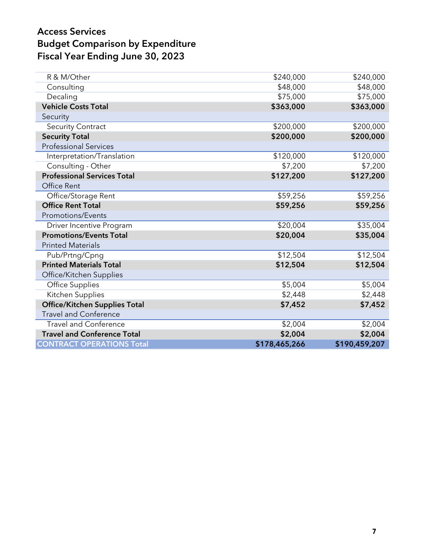| R & M/Other                          | \$240,000     | \$240,000     |
|--------------------------------------|---------------|---------------|
| Consulting                           | \$48,000      | \$48,000      |
| Decaling                             | \$75,000      | \$75,000      |
| <b>Vehicle Costs Total</b>           | \$363,000     | \$363,000     |
| Security                             |               |               |
| <b>Security Contract</b>             | \$200,000     | \$200,000     |
| <b>Security Total</b>                | \$200,000     | \$200,000     |
| <b>Professional Services</b>         |               |               |
| Interpretation/Translation           | \$120,000     | \$120,000     |
| Consulting - Other                   | \$7,200       | \$7,200       |
| <b>Professional Services Total</b>   | \$127,200     | \$127,200     |
| Office Rent                          |               |               |
| Office/Storage Rent                  | \$59,256      | \$59,256      |
| <b>Office Rent Total</b>             | \$59,256      | \$59,256      |
| Promotions/Events                    |               |               |
| Driver Incentive Program             | \$20,004      | \$35,004      |
| <b>Promotions/Events Total</b>       | \$20,004      | \$35,004      |
| <b>Printed Materials</b>             |               |               |
| Pub/Prtng/Cpng                       | \$12,504      | \$12,504      |
| <b>Printed Materials Total</b>       | \$12,504      | \$12,504      |
| Office/Kitchen Supplies              |               |               |
| <b>Office Supplies</b>               | \$5,004       | \$5,004       |
| Kitchen Supplies                     | \$2,448       | \$2,448       |
| <b>Office/Kitchen Supplies Total</b> | \$7,452       | \$7,452       |
| <b>Travel and Conference</b>         |               |               |
| <b>Travel and Conference</b>         | \$2,004       | \$2,004       |
| <b>Travel and Conference Total</b>   | \$2,004       | \$2,004       |
| <b>CONTRACT OPERATIONS Total</b>     | \$178,465,266 | \$190,459,207 |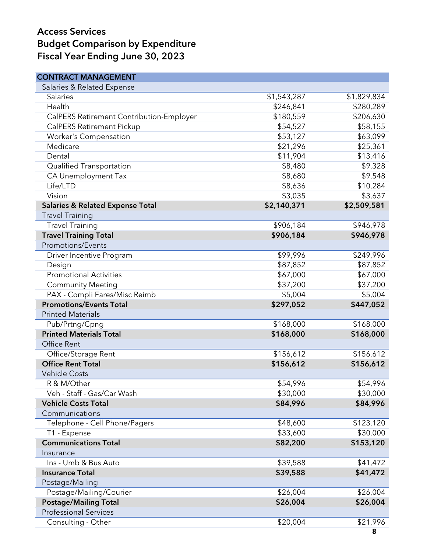| <b>CONTRACT MANAGEMENT</b>                  |             |             |
|---------------------------------------------|-------------|-------------|
| Salaries & Related Expense                  |             |             |
| <b>Salaries</b>                             | \$1,543,287 | \$1,829,834 |
| Health                                      | \$246,841   | \$280,289   |
| CalPERS Retirement Contribution-Employer    | \$180,559   | \$206,630   |
| <b>CalPERS Retirement Pickup</b>            | \$54,527    | \$58,155    |
| Worker's Compensation                       | \$53,127    | \$63,099    |
| Medicare                                    | \$21,296    | \$25,361    |
| Dental                                      | \$11,904    | \$13,416    |
| Qualified Transportation                    | \$8,480     | \$9,328     |
| CA Unemployment Tax                         | \$8,680     | \$9,548     |
| Life/LTD                                    | \$8,636     | \$10,284    |
| Vision                                      | \$3,035     | \$3,637     |
| <b>Salaries &amp; Related Expense Total</b> | \$2,140,371 | \$2,509,581 |
| <b>Travel Training</b>                      |             |             |
| <b>Travel Training</b>                      | \$906,184   | \$946,978   |
| <b>Travel Training Total</b>                | \$906,184   | \$946,978   |
| <b>Promotions/Events</b>                    |             |             |
| Driver Incentive Program                    | \$99,996    | \$249,996   |
| Design                                      | \$87,852    | \$87,852    |
| <b>Promotional Activities</b>               | \$67,000    | \$67,000    |
| <b>Community Meeting</b>                    | \$37,200    | \$37,200    |
| PAX - Compli Fares/Misc Reimb               | \$5,004     | \$5,004     |
| <b>Promotions/Events Total</b>              | \$297,052   | \$447,052   |
| <b>Printed Materials</b>                    |             |             |
| Pub/Prtng/Cpng                              | \$168,000   | \$168,000   |
| <b>Printed Materials Total</b>              | \$168,000   | \$168,000   |
| Office Rent                                 |             |             |
| Office/Storage Rent                         | \$156,612   | \$156,612   |
| <b>Office Rent Total</b>                    | \$156,612   | \$156,612   |
| <b>Vehicle Costs</b>                        |             |             |
| R & M/Other                                 | \$54,996    | \$54,996    |
| Veh - Staff - Gas/Car Wash                  | \$30,000    | \$30,000    |
| <b>Vehicle Costs Total</b>                  | \$84,996    | \$84,996    |
| Communications                              |             |             |
| Telephone - Cell Phone/Pagers               | \$48,600    | \$123,120   |
| T1 - Expense                                | \$33,600    | \$30,000    |
| <b>Communications Total</b>                 | \$82,200    | \$153,120   |
| Insurance                                   |             |             |
| Ins - Umb & Bus Auto                        | \$39,588    | \$41,472    |
| <b>Insurance Total</b>                      | \$39,588    | \$41,472    |
| Postage/Mailing                             |             |             |
| Postage/Mailing/Courier                     | \$26,004    | \$26,004    |
| <b>Postage/Mailing Total</b>                | \$26,004    | \$26,004    |
| <b>Professional Services</b>                |             |             |
| Consulting - Other                          | \$20,004    | \$21,996    |
|                                             |             |             |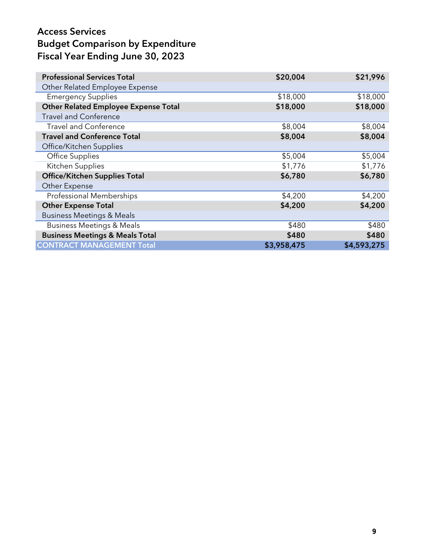| <b>Professional Services Total</b>          | \$20,004    | \$21,996    |
|---------------------------------------------|-------------|-------------|
| Other Related Employee Expense              |             |             |
| <b>Emergency Supplies</b>                   | \$18,000    | \$18,000    |
| <b>Other Related Employee Expense Total</b> | \$18,000    | \$18,000    |
| <b>Travel and Conference</b>                |             |             |
| <b>Travel and Conference</b>                | \$8,004     | \$8,004     |
| <b>Travel and Conference Total</b>          | \$8,004     | \$8,004     |
| Office/Kitchen Supplies                     |             |             |
| Office Supplies                             | \$5,004     | \$5,004     |
| Kitchen Supplies                            | \$1,776     | \$1,776     |
| <b>Office/Kitchen Supplies Total</b>        | \$6,780     | \$6,780     |
| Other Expense                               |             |             |
| <b>Professional Memberships</b>             | \$4,200     | \$4,200     |
| <b>Other Expense Total</b>                  | \$4,200     | \$4,200     |
| <b>Business Meetings &amp; Meals</b>        |             |             |
| <b>Business Meetings &amp; Meals</b>        | \$480       | \$480       |
| <b>Business Meetings &amp; Meals Total</b>  | \$480       | \$480       |
| <b>CONTRACT MANAGEMENT Total</b>            | \$3,958,475 | \$4,593,275 |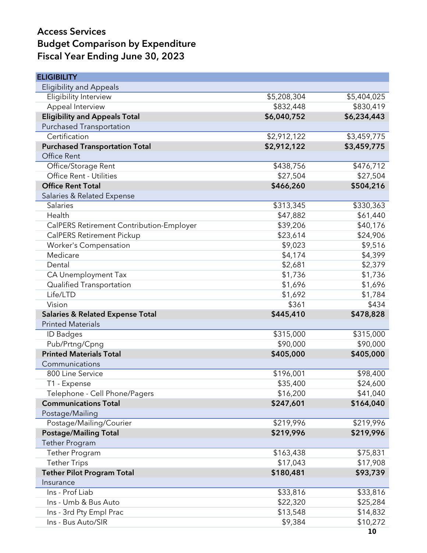| <b>ELIGIBILITY</b>                          |             |                |
|---------------------------------------------|-------------|----------------|
| <b>Eligibility and Appeals</b>              |             |                |
| Eligibility Interview                       | \$5,208,304 | \$5,404,025    |
| Appeal Interview                            | \$832,448   | \$830,419      |
| <b>Eligibility and Appeals Total</b>        | \$6,040,752 | \$6,234,443    |
| <b>Purchased Transportation</b>             |             |                |
| Certification                               | \$2,912,122 | \$3,459,775    |
| <b>Purchased Transportation Total</b>       | \$2,912,122 | \$3,459,775    |
| Office Rent                                 |             |                |
| Office/Storage Rent                         | \$438,756   | \$476,712      |
| Office Rent - Utilities                     | \$27,504    | \$27,504       |
| <b>Office Rent Total</b>                    | \$466,260   | \$504,216      |
| Salaries & Related Expense                  |             |                |
| Salaries                                    | \$313,345   | \$330,363      |
| Health                                      | \$47,882    | \$61,440       |
| CalPERS Retirement Contribution-Employer    | \$39,206    | \$40,176       |
| <b>CalPERS Retirement Pickup</b>            | \$23,614    | \$24,906       |
| Worker's Compensation                       | \$9,023     | \$9,516        |
| Medicare                                    | \$4,174     | \$4,399        |
| Dental                                      | \$2,681     | \$2,379        |
| CA Unemployment Tax                         | \$1,736     | \$1,736        |
| Qualified Transportation                    | \$1,696     | \$1,696        |
| Life/LTD                                    | \$1,692     | \$1,784        |
| Vision                                      | \$361       | \$434          |
| <b>Salaries &amp; Related Expense Total</b> | \$445,410   | \$478,828      |
| <b>Printed Materials</b>                    |             |                |
| <b>ID Badges</b>                            | \$315,000   | \$315,000      |
| Pub/Prtng/Cpng                              | \$90,000    | \$90,000       |
| <b>Printed Materials Total</b>              |             |                |
|                                             | \$405,000   | \$405,000      |
| Communications                              |             |                |
| 800 Line Service                            | \$196,001   | \$98,400       |
| T1 - Expense                                | \$35,400    | \$24,600       |
| Telephone - Cell Phone/Pagers               | \$16,200    | \$41,040       |
| <b>Communications Total</b>                 | \$247,601   | \$164,040      |
| Postage/Mailing                             |             |                |
| Postage/Mailing/Courier                     | \$219,996   | \$219,996      |
| <b>Postage/Mailing Total</b>                | \$219,996   | \$219,996      |
| <b>Tether Program</b>                       |             |                |
| Tether Program                              | \$163,438   | \$75,831       |
| <b>Tether Trips</b>                         | \$17,043    | \$17,908       |
| <b>Tether Pilot Program Total</b>           | \$180,481   | \$93,739       |
| Insurance                                   |             |                |
| Ins - Prof Liab                             | \$33,816    | \$33,816       |
| Ins - Umb & Bus Auto                        | \$22,320    | \$25,284       |
| Ins - 3rd Pty Empl Prac                     | \$13,548    | \$14,832       |
| Ins - Bus Auto/SIR                          | \$9,384     | \$10,272<br>10 |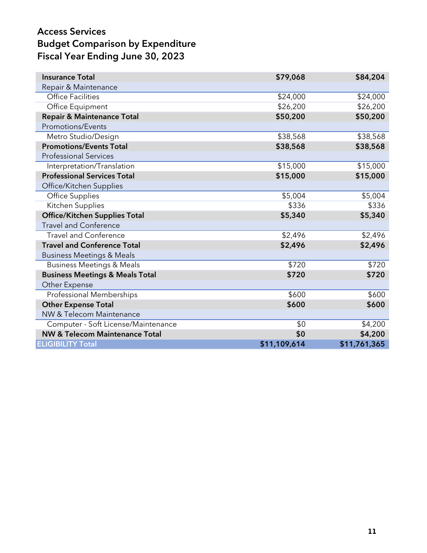| <b>Insurance Total</b>                     | \$79,068     | \$84,204     |
|--------------------------------------------|--------------|--------------|
| Repair & Maintenance                       |              |              |
| <b>Office Facilities</b>                   | \$24,000     | \$24,000     |
| Office Equipment                           | \$26,200     | \$26,200     |
| <b>Repair &amp; Maintenance Total</b>      | \$50,200     | \$50,200     |
| Promotions/Events                          |              |              |
| Metro Studio/Design                        | \$38,568     | \$38,568     |
| <b>Promotions/Events Total</b>             | \$38,568     | \$38,568     |
| <b>Professional Services</b>               |              |              |
| Interpretation/Translation                 | \$15,000     | \$15,000     |
| <b>Professional Services Total</b>         | \$15,000     | \$15,000     |
| Office/Kitchen Supplies                    |              |              |
| <b>Office Supplies</b>                     | \$5,004      | \$5,004      |
| Kitchen Supplies                           | \$336        | \$336        |
| <b>Office/Kitchen Supplies Total</b>       | \$5,340      | \$5,340      |
| <b>Travel and Conference</b>               |              |              |
| <b>Travel and Conference</b>               | \$2,496      | \$2,496      |
| <b>Travel and Conference Total</b>         | \$2,496      | \$2,496      |
| <b>Business Meetings &amp; Meals</b>       |              |              |
| <b>Business Meetings &amp; Meals</b>       | \$720        | \$720        |
| <b>Business Meetings &amp; Meals Total</b> | \$720        | \$720        |
| Other Expense                              |              |              |
| Professional Memberships                   | \$600        | \$600        |
| <b>Other Expense Total</b>                 | \$600        | \$600        |
| NW & Telecom Maintenance                   |              |              |
| Computer - Soft License/Maintenance        | \$0          | \$4,200      |
| <b>NW &amp; Telecom Maintenance Total</b>  | \$0          | \$4,200      |
| <b>ELIGIBILITY Total</b>                   | \$11,109,614 | \$11,761,365 |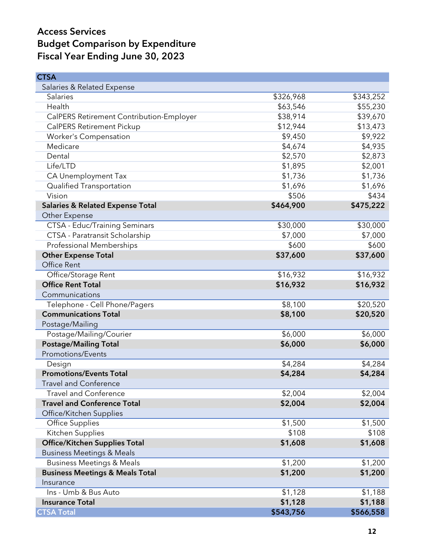| <b>CTSA</b>                                 |           |           |
|---------------------------------------------|-----------|-----------|
| Salaries & Related Expense                  |           |           |
| <b>Salaries</b>                             | \$326,968 | \$343,252 |
| Health                                      | \$63,546  | \$55,230  |
| CalPERS Retirement Contribution-Employer    | \$38,914  | \$39,670  |
| <b>CalPERS Retirement Pickup</b>            | \$12,944  | \$13,473  |
| Worker's Compensation                       | \$9,450   | \$9,922   |
| Medicare                                    | \$4,674   | \$4,935   |
| Dental                                      | \$2,570   | \$2,873   |
| Life/LTD                                    | \$1,895   | \$2,001   |
| CA Unemployment Tax                         | \$1,736   | \$1,736   |
| Qualified Transportation                    | \$1,696   | \$1,696   |
| Vision                                      | \$506     | \$434     |
| <b>Salaries &amp; Related Expense Total</b> | \$464,900 | \$475,222 |
| Other Expense                               |           |           |
| CTSA - Educ/Training Seminars               | \$30,000  | \$30,000  |
| CTSA - Paratransit Scholarship              | \$7,000   | \$7,000   |
| <b>Professional Memberships</b>             | \$600     | \$600     |
| <b>Other Expense Total</b>                  | \$37,600  | \$37,600  |
| Office Rent                                 |           |           |
| Office/Storage Rent                         | \$16,932  | \$16,932  |
| <b>Office Rent Total</b>                    | \$16,932  | \$16,932  |
| Communications                              |           |           |
| Telephone - Cell Phone/Pagers               | \$8,100   | \$20,520  |
| <b>Communications Total</b>                 | \$8,100   | \$20,520  |
| Postage/Mailing                             |           |           |
| Postage/Mailing/Courier                     | \$6,000   | \$6,000   |
| <b>Postage/Mailing Total</b>                | \$6,000   | \$6,000   |
| <b>Promotions/Events</b>                    |           |           |
| Design                                      | \$4,284   | \$4,284   |
| <b>Promotions/Events Total</b>              | \$4,284   | \$4,284   |
| Travel and Conference                       |           |           |
| <b>Travel and Conference</b>                | \$2,004   | \$2,004   |
| <b>Travel and Conference Total</b>          | \$2,004   | \$2,004   |
| Office/Kitchen Supplies                     |           |           |
| <b>Office Supplies</b>                      | \$1,500   | \$1,500   |
| Kitchen Supplies                            | \$108     | \$108     |
| <b>Office/Kitchen Supplies Total</b>        | \$1,608   | \$1,608   |
| <b>Business Meetings &amp; Meals</b>        |           |           |
| <b>Business Meetings &amp; Meals</b>        | \$1,200   | \$1,200   |
| <b>Business Meetings &amp; Meals Total</b>  | \$1,200   | \$1,200   |
| Insurance                                   |           |           |
| Ins - Umb & Bus Auto                        | \$1,128   | \$1,188   |
| <b>Insurance Total</b>                      | \$1,128   | \$1,188   |
| <b>CTSA Total</b>                           | \$543,756 | \$566,558 |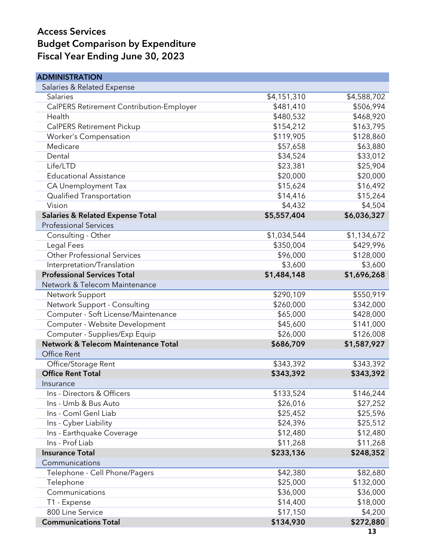| <b>ADMINISTRATION</b>                       |             |             |
|---------------------------------------------|-------------|-------------|
| Salaries & Related Expense                  |             |             |
| Salaries                                    | \$4,151,310 | \$4,588,702 |
| CalPERS Retirement Contribution-Employer    | \$481,410   | \$506,994   |
| Health                                      | \$480,532   | \$468,920   |
| CalPERS Retirement Pickup                   | \$154,212   | \$163,795   |
| Worker's Compensation                       | \$119,905   | \$128,860   |
| Medicare                                    | \$57,658    | \$63,880    |
| Dental                                      | \$34,524    | \$33,012    |
| Life/LTD                                    | \$23,381    | \$25,904    |
| <b>Educational Assistance</b>               | \$20,000    | \$20,000    |
| CA Unemployment Tax                         | \$15,624    | \$16,492    |
| Qualified Transportation                    | \$14,416    | \$15,264    |
| Vision                                      | \$4,432     | \$4,504     |
| <b>Salaries &amp; Related Expense Total</b> | \$5,557,404 | \$6,036,327 |
| <b>Professional Services</b>                |             |             |
| Consulting - Other                          | \$1,034,544 | \$1,134,672 |
| Legal Fees                                  | \$350,004   | \$429,996   |
| <b>Other Professional Services</b>          | \$96,000    | \$128,000   |
| Interpretation/Translation                  | \$3,600     | \$3,600     |
| <b>Professional Services Total</b>          | \$1,484,148 | \$1,696,268 |
| Network & Telecom Maintenance               |             |             |
| Network Support                             | \$290,109   | \$550,919   |
| Network Support - Consulting                | \$260,000   | \$342,000   |
| Computer - Soft License/Maintenance         | \$65,000    | \$428,000   |
| Computer - Website Development              | \$45,600    | \$141,000   |
| Computer - Supplies/Exp Equip               | \$26,000    | \$126,008   |
| Network & Telecom Maintenance Total         | \$686,709   | \$1,587,927 |
| Office Rent                                 |             |             |
| Office/Storage Rent                         | \$343,392   | \$343,392   |
| <b>Office Rent Total</b>                    | \$343,392   | \$343,392   |
| Insurance                                   |             |             |
| Ins - Directors & Officers                  | \$133,524   | \$146,244   |
| Ins - Umb & Bus Auto                        | \$26,016    | \$27,252    |
| Ins - Coml Genl Liab                        | \$25,452    | \$25,596    |
| Ins - Cyber Liability                       | \$24,396    | \$25,512    |
| Ins - Earthquake Coverage                   | \$12,480    | \$12,480    |
| Ins - Prof Liab                             | \$11,268    | \$11,268    |
| <b>Insurance Total</b>                      | \$233,136   | \$248,352   |
| Communications                              |             |             |
| Telephone - Cell Phone/Pagers               | \$42,380    | \$82,680    |
| Telephone                                   | \$25,000    | \$132,000   |
| Communications                              | \$36,000    | \$36,000    |
| T1 - Expense                                | \$14,400    | \$18,000    |
| 800 Line Service                            | \$17,150    | \$4,200     |
| <b>Communications Total</b>                 | \$134,930   | \$272,880   |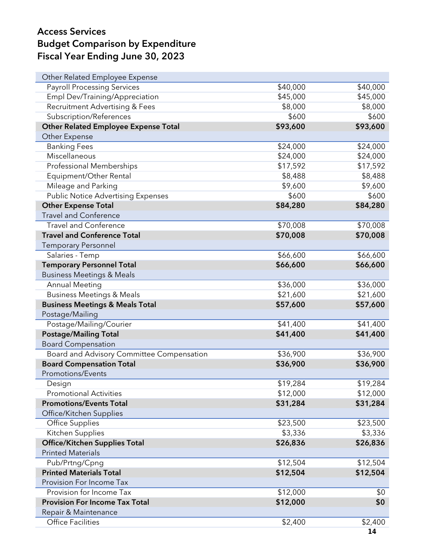| Other Related Employee Expense              |          |          |
|---------------------------------------------|----------|----------|
| <b>Payroll Processing Services</b>          | \$40,000 | \$40,000 |
| Empl Dev/Training/Appreciation              | \$45,000 | \$45,000 |
| <b>Recruitment Advertising &amp; Fees</b>   | \$8,000  | \$8,000  |
| Subscription/References                     | \$600    | \$600    |
| <b>Other Related Employee Expense Total</b> | \$93,600 | \$93,600 |
| Other Expense                               |          |          |
| <b>Banking Fees</b>                         | \$24,000 | \$24,000 |
| Miscellaneous                               | \$24,000 | \$24,000 |
| Professional Memberships                    | \$17,592 | \$17,592 |
| Equipment/Other Rental                      | \$8,488  | \$8,488  |
| Mileage and Parking                         | \$9,600  | \$9,600  |
| <b>Public Notice Advertising Expenses</b>   | \$600    | \$600    |
| <b>Other Expense Total</b>                  | \$84,280 | \$84,280 |
| <b>Travel and Conference</b>                |          |          |
| <b>Travel and Conference</b>                | \$70,008 | \$70,008 |
| <b>Travel and Conference Total</b>          | \$70,008 | \$70,008 |
| <b>Temporary Personnel</b>                  |          |          |
| Salaries - Temp                             | \$66,600 | \$66,600 |
| <b>Temporary Personnel Total</b>            | \$66,600 | \$66,600 |
| <b>Business Meetings &amp; Meals</b>        |          |          |
| <b>Annual Meeting</b>                       | \$36,000 | \$36,000 |
| <b>Business Meetings &amp; Meals</b>        | \$21,600 | \$21,600 |
| <b>Business Meetings &amp; Meals Total</b>  | \$57,600 | \$57,600 |
| Postage/Mailing                             |          |          |
| Postage/Mailing/Courier                     | \$41,400 | \$41,400 |
| <b>Postage/Mailing Total</b>                | \$41,400 | \$41,400 |
| <b>Board Compensation</b>                   |          |          |
| Board and Advisory Committee Compensation   | \$36,900 | \$36,900 |
| <b>Board Compensation Total</b>             | \$36,900 | \$36,900 |
| Promotions/Events                           |          |          |
| Design                                      | \$19,284 | \$19,284 |
| <b>Promotional Activities</b>               | \$12,000 | \$12,000 |
| <b>Promotions/Events Total</b>              | \$31,284 | \$31,284 |
| Office/Kitchen Supplies                     |          |          |
| <b>Office Supplies</b>                      | \$23,500 | \$23,500 |
| Kitchen Supplies                            | \$3,336  | \$3,336  |
| <b>Office/Kitchen Supplies Total</b>        | \$26,836 | \$26,836 |
| <b>Printed Materials</b>                    |          |          |
| Pub/Prtng/Cpng                              | \$12,504 | \$12,504 |
| <b>Printed Materials Total</b>              | \$12,504 | \$12,504 |
| Provision For Income Tax                    |          |          |
| Provision for Income Tax                    | \$12,000 | \$0      |
| <b>Provision For Income Tax Total</b>       | \$12,000 | \$0      |
| Repair & Maintenance                        |          |          |
| <b>Office Facilities</b>                    | \$2,400  | \$2,400  |
|                                             |          | 14       |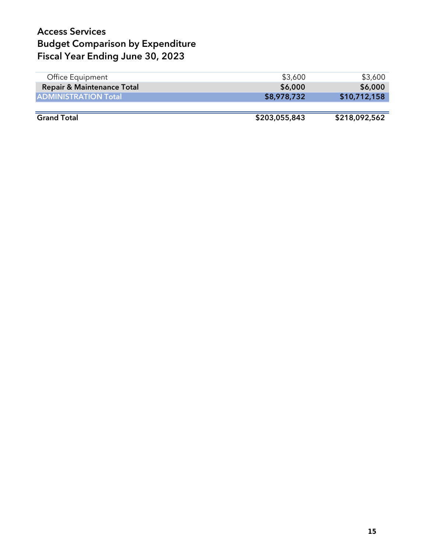| Office Equipment                      | \$3,600       | \$3,600       |
|---------------------------------------|---------------|---------------|
| <b>Repair &amp; Maintenance Total</b> | \$6,000       | \$6,000       |
| <b>ADMINISTRATION Total</b>           | \$8,978,732   | \$10,712,158  |
|                                       |               |               |
| <b>Grand Total</b>                    | \$203,055,843 | \$218,092,562 |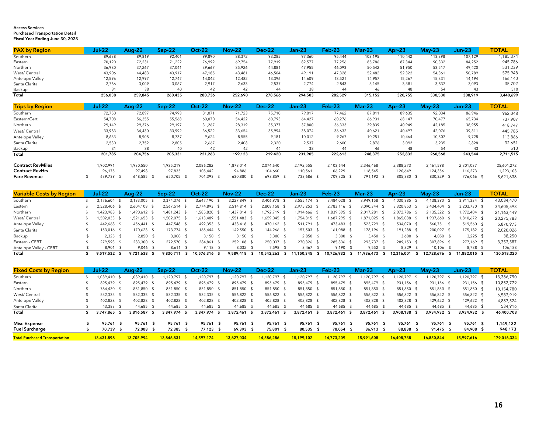#### Access ServicesPurchased Transportation Detail Fiscal Year Ending June 30, 2023

| <b>PAX by Region</b> | Jul-22  | <b>Aug 22</b> | sep 22  | Dct 22  | Nov-22  | Dec-22  | lan 23  | $Feb-23$ | Mar 23  |         | $M$ av $-23$ | un-23   | <b>TOTAL</b> |
|----------------------|---------|---------------|---------|---------|---------|---------|---------|----------|---------|---------|--------------|---------|--------------|
| Southern             | 89,638  | 89,819        | 92,401  | 99,890  | 88,372  | 93,285  | 97,360  | 95,444   | 108,195 | 110,442 | 113,398      | 107,129 | 1,185,374    |
| Eastern              | 70,120  | 72,231        | 71,222  | 76,992  | 69,754  | 77,919  | 82,577  | 77,256   | 85,786  | 87,344  | 90,332       | 84,252  | 945,786      |
| Northern             | 36,980  | 37,267        | 37,041  | 39,667  | 35,926  | 44,881  | 47,955  | 46,093   | 50,542  | 51,950  | 53,517       | 49,420  | 531,239      |
| West/ Central        | 43,906  | 44,483        | 43,917  | 47,185  | 43,481  | 46,504  | 49,191  | 47,328   | 52,482  | 52,322  | 54,361       | 50,789  | 575,948      |
| Antelope Valley      | 12,596  | 2.997         | 12,747  | 14,042  | 12,482  | 13,396  | 14,609  | 13,521   | 14.957  | 15,267  | 15,33'       | 14,194  | 166,140      |
| Santa Clarita        | 2,766   | 3,009         | 3,067   | 2,917   | 2,633   | 2,537   | 2,774   | 2,843    | 3,145   | 3,381   | 3,537        | 3,093   | 35,702       |
| Backup               |         |               |         |         |         |         |         |          | 46      |         |              | 43      | 510          |
| Total                | 256.038 | 259.845       | 260.435 | 280.736 | 252,690 | 278.566 | 294.503 | 282.529  | 315.152 | 320.755 | 330.530      | 308.919 | 3,440,699    |

| <b>Trips by Region</b>   | Jul 22     | <b>Aug-22</b> | Sep-22     | Oct-22    | <b>Nov-22</b> | <b>Dec-22</b> | Jan-23     | Feb-23     | Mar-23     | Apr $-23$  | $Mav-23$  | Jun-23     | <b>TOTAL</b> |
|--------------------------|------------|---------------|------------|-----------|---------------|---------------|------------|------------|------------|------------|-----------|------------|--------------|
| Southern                 | 72,750     | 72,897        | 74.993     | 81,071    | 71,723        | 75,710        | 79,017     | 77,462     | 87,811     | 89,635     | 92,034    | 86,946     | 962,048      |
| Eastern/Cert             | 54,708     | 56,355        | 55,568     | 60,070    | 54,422        | 60,793        | 64,427     | 60,276     | 66,931     | 68,147     | 70,477    | 65,734     | 737,907      |
| Northern                 | 29,149     | 29,376        | 29,197     | 31,267    | 28,319        | 35,377        | 37,800     | 36,333     | 39,839     | 40,949     | 42,185    | 38,955     | 418,747      |
| West/Central             | 33,983     | 34.430        | 33.992     | 36,522    | 33,654        | 35,994        | 38,074     | 36,632     | 40.621     | 40,497     | 42.076    | 39,311     | 445,785      |
| Antelope Valley          | 8,633      | 8,908         | 8,737      | 9,624     | 8,555         | 9,181         | 10,012     | 9,267      | 10,251     | 10,464     | 10,507    | 9,728      | 113,866      |
| Santa Clarita            | 2,530      | 2.752         | 2,805      | 2.667     | 2,408         | 2.320         | 2,537      | 2,600      | 2,876      | 3,092      | 3.235     | 2,828      | 32,651       |
| Backup                   |            | 38            | 40         | 42        | 42            | 44            |            | 44         | 46         | 48         | 54        | 43         | 510          |
| Total                    | 201.785    | 204,756       | 205,331    | 221,263   | 199,123       | 219,420       | 231,905    | 222,613    | 248,375    | 252,832    | 260,568   | 243,544    | 2,711,515    |
| <b>Contract RevMiles</b> | .902.991   | 1.930.550     | 1.935.219  | 2,086,282 | 1,878,014     | 2.074.640     | 2,192,555  | 2,103,644  | 2.346.468  | 2,388,273  | 2.461.598 | 2,301,037  | 25,601,272   |
| <b>Contract RevHrs</b>   | 96.175     | 97.498        | 97,835     | 105.442   | 94.886        | 104,660       | 110,561    | 106,229    | 118.545    | 120.649    | 124.356   | 116,273    | 1,293,108    |
| <b>Fare Revenue</b>      | 639,739 \$ | 648,585       | 650,705 \$ | 701,393   | 630,880       | 698,859       | 738,686 \$ | 709,325 \$ | 791,192 \$ | 805,880 \$ | 830,329   | 776,066 \$ | 8,621,638    |

| <b>Variable Costs by Region</b> | <b>Jul-22</b> | Aua-22         | Sep-22       | Dct-22         | <b>Nov-22</b> | <b>Dec-22</b> |      | Jan-23     | $Feb-23$      | $Mar-23$      | Apr-23       | $Mav-23$   | Jun-23        | <b>TOTAL</b> |
|---------------------------------|---------------|----------------|--------------|----------------|---------------|---------------|------|------------|---------------|---------------|--------------|------------|---------------|--------------|
| Southern                        | 3.176.604     | 3,183,005      | 3.374.376    | 7.190<br>3.647 | 3,227,849     | 3,406,978     |      | 3,555,174  | 3,484,028     | 3,949,158 \$  | 4,030,385    | ,138,390   | 3,911,334 \$  | 43,084,470   |
| Eastern                         | 2.528.406 \$  | 2.604.108 \$   | 2.567.514 \$ | 2.774.893 \$   | 2.514.814 \$  | 2,808,158 \$  |      | 2.975.253  | 2.783.116 \$  | 3,090,344 \$  | 3,320,853 \$ | 3.434.404  | 3,203,730 \$  | 34,605,593   |
| Northern                        | 423.988 \$    | .490.612 \$    | .481.243     | ,585,820       | 437,014 \$    | 1,792,719     |      | 1,914,666  | 1,839,595     | 2,017,281     | 2,072,786    | 2,135,322  | ,972,404 \$   | 21,163,449   |
| West/ Central                   | 1.502.033 \$  | ,521,653 \$    | .502.075 \$  | 1,613,489 \$   | 551,483 \$    | 1,659,045     |      | 1,754,315  | 1,687,295 \$  | 1,871,025 \$  | 865,038      | ,937,660   | ,810,672 \$   | 20,275,783   |
| Antelope Valley                 | 442.668 \$    | 456.441 \$     | 447.548 \$   | 492.353 \$     | 438.418 \$    | 470.162 \$    |      | 511.791    | 473.483 \$    | 523.729 \$    | 534.070 \$   | 560.751 \$ | 519.560 \$    | 5,870,973    |
| Santa Clarita                   | 153.016 \$    | 170.623 \$     | 173.774 \$   | 165.444        | 149.550 \$    | 144.266       |      | 157.503    | 161.088 \$    | 178.196 \$    | 191.288 \$   | 200,097 \$ | 175.182 \$    | 2,020,026    |
| Backup                          | $2.325$ \$    | $2.850$ \$     | $3.000$ \$   | $3.150$ \$     | $3.150$ \$    | 3.300         |      | 2.850      | 3.300         | $3.450$ \$    | $3.600$ \$   | $4.050$ \$ | $3.225$ \$    | 38,250       |
| Eastern - CERT                  | 279.593 \$    | 283.300 \$     | 272.570 \$   | 284.861        | 259.108 \$    | 250.037       |      | 270.326    | 285.836 \$    | 293.737 \$    | 289.153 \$   | 307.896    | 277.169 \$    | 3,353,587    |
| Antelope Valley - CERT          | 8.901         | $9.046$ \$     | 8.611        | $9.118$ \$     | 8.032         | 7.598         |      | 8.467      | 9.190         | $9.552$ \$    | 8.829 \$     | 10.106     | 8.738 \$      | 106,188      |
| Total                           | 9.517.532 \$  | $9.721.638$ \$ | 9.830.711    | 10.576.316 \$  | 9,589,418 \$  | 10,542,263    | - 55 | 11,150,345 | 10,726,932 \$ | 11,936,473 \$ | 12,316,001   | 12.728.676 | 11.882.015 \$ | 130,518,320  |

| <b>Fixed Costs by Region</b>          | Jul-22       | <b>Aug-22</b> | Sep-22       | Dct-22     |      | <b>Nov-22</b> |      | Dec-22     |      | Jan-23       | $Feb-23$     | Mar-23       | Apr-23       | <b>Mav-23</b> |      | <b>Jun-23</b> |      | <b>TOTAL</b> |
|---------------------------------------|--------------|---------------|--------------|------------|------|---------------|------|------------|------|--------------|--------------|--------------|--------------|---------------|------|---------------|------|--------------|
| Southern                              | 1.089.410 \$ | ,089,410      | 120,797      | .120.797   |      | ,120,797      |      | ,120,797   |      | ,120,797     | 1.120.797 \$ | 120,797 \$   | 120.797      | 120,797       |      | ,120,797      |      | 13,386,790   |
| Eastern                               | 895.479 \$   | 895.479 \$    | 895.479 \$   | 895,479 \$ |      | 895.479       | - 55 | 895,479    |      | 895.479 \$   | 895.479 \$   | 895,479 \$   | 931.156 \$   | 931,156 \$    |      | 931.156 \$    |      | 10,852,779   |
| Northern                              | 784.430 \$   | 851.850 \$    | 851.850      | 851,850 \$ |      | 851.850 \$    |      | 851,850    |      | 851,850 \$   | 851,850 \$   | 851.850 \$   | 851,850 \$   | 851,850 \$    |      | 851,850       | - 55 | 10,154,780   |
| West/ Central                         | 532.335 \$   | 532.335 \$    | 532.335 \$   | 532,335    |      | 556.822 \$    |      | 556,822    |      | 556.822 \$   | 556.822 \$   | 556.822 \$   | 556.822 \$   | 556,822       |      | 556,822 \$    |      | 6,583,919    |
| Antelope Valley                       | 402.828 \$   | 402.828 \$    | 402.828 \$   | 402.828 \$ |      | 402,828 \$    |      | 402,828    |      | 402,828 \$   | 402.828 \$   | 402.828 \$   | 402.828 \$   | 429.622 \$    |      | 429,622 \$    |      | 4,887,524    |
| Santa Clarita                         | 43.383 \$    | 44.685 \$     | 44.685       | 44.685     |      | 44.685        |      | 44.685     |      | 44.685       | 44.685 \$    | 44.685 \$    | 44.685       | 44.685 \$     |      | 44.685 \$     |      | 534,916      |
| Total                                 | 3.747.865    | 3.816.587 \$  | 3.847.974 \$ | 3.847.974  | - 55 | 3.872.461     | - 5  | 3.872.461  |      | 3,872,461 \$ | 3.872.461 \$ | 3,872,461 \$ | 3.908.138 \$ | 3.934.932 \$  |      | 3.934.932 \$  |      | 46,400,708   |
|                                       |              | 95.761 \$     | 95.761 \$    |            |      | 95.761        |      |            |      | 95.761 \$    | 95.761 \$    | 95.761 \$    | 95.761 \$    | 95.761        |      | 95.761        |      |              |
| <b>Misc Expense</b>                   | 95.761       |               |              | 95,761     | - S  |               | - S  | 95.761     | - \$ |              |              |              |              |               | - \$ |               | - \$ | 1,149,132    |
| <b>Fuel Surcharge</b>                 | 70.739       | 72,008 \$     | 72,385       | 77,123 \$  |      | 69,393        | - \$ | 75,801     | - \$ | 80,535       | 78.054 \$    | 86,913 \$    | 88,838 \$    | 91,475 \$     |      | 84,908 \$     |      | 948,173      |
| <b>Total Purchased Transportation</b> | 13.431.898   | 13.705.994    | 13,846,831   | 14.597.174 |      | 13.627.034    |      | 14.586.286 |      | 15.199.102   | 14.773.209   | 15,991,608   | 16,408,738   | 16.850.844    |      | 15,997.616    |      | 179,016,334  |